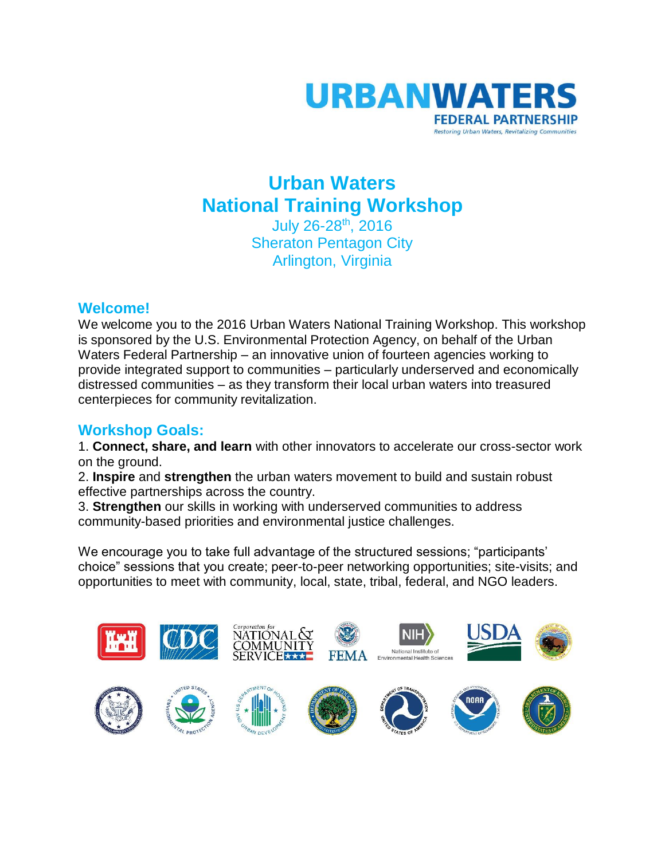

## **Urban Waters National Training Workshop** July 26-28<sup>th</sup>, 2016

Sheraton Pentagon City Arlington, Virginia

## **Welcome!**

We welcome you to the 2016 Urban Waters National Training Workshop. This workshop is sponsored by the U.S. Environmental Protection Agency, on behalf of the Urban Waters Federal Partnership – an innovative union of fourteen agencies working to provide integrated support to communities – particularly underserved and economically distressed communities – as they transform their local urban waters into treasured centerpieces for community revitalization.

## **Workshop Goals:**

1. **Connect, share, and learn** with other innovators to accelerate our cross-sector work on the ground.

2. **Inspire** and **strengthen** the urban waters movement to build and sustain robust effective partnerships across the country.

3. **Strengthen** our skills in working with underserved communities to address community-based priorities and environmental justice challenges.

We encourage you to take full advantage of the structured sessions; "participants' choice" sessions that you create; peer-to-peer networking opportunities; site-visits; and opportunities to meet with community, local, state, tribal, federal, and NGO leaders.